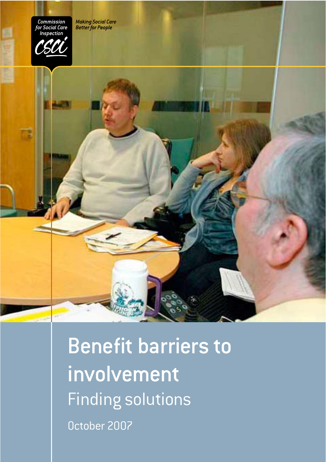**Making Social Care**<br>Better for People



Benefit barriers to involvement Finding solutions October 2007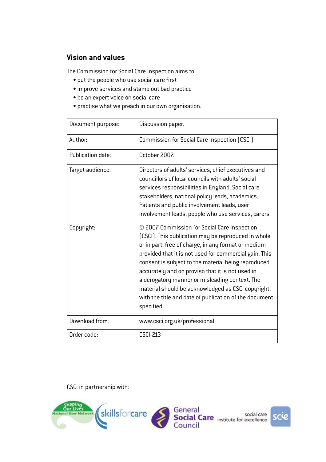## **Vision and values**

The Commission for Social Care Inspection aims to:

- put the people who use social care first
- improve services and stamp out bad practice
- $\bullet$  be an expert voice on social care
- practise what we preach in our own organisation.

| Document purpose: | Discussion paper.                                                                                                                                                                                                                                                                                                                                                                                                                                                                                               |
|-------------------|-----------------------------------------------------------------------------------------------------------------------------------------------------------------------------------------------------------------------------------------------------------------------------------------------------------------------------------------------------------------------------------------------------------------------------------------------------------------------------------------------------------------|
| Author:           | Commission for Social Care Inspection (CSCI).                                                                                                                                                                                                                                                                                                                                                                                                                                                                   |
| Publication date: | October 2007.                                                                                                                                                                                                                                                                                                                                                                                                                                                                                                   |
| Target audience:  | Directors of adults' services, chief executives and<br>councillors of local councils with adults' social<br>services responsibilities in England. Social care<br>stakeholders, national policy leads, academics.<br>Patients and public involvement leads, user<br>involvement leads, people who use services, carers.                                                                                                                                                                                          |
| Copyright:        | © 2007 Commission for Social Care Inspection<br>(CSCI). This publication may be reproduced in whole<br>or in part, free of charge, in any format or medium<br>provided that it is not used for commercial gain. This<br>consent is subject to the material being reproduced<br>accurately and on proviso that it is not used in<br>a derogatory manner or misleading context. The<br>material should be acknowledged as CSCI copyright,<br>with the title and date of publication of the document<br>specified. |
| Download from:    | www.csci.org.uk/professional                                                                                                                                                                                                                                                                                                                                                                                                                                                                                    |
| Order code:       | <b>CSCI-213</b>                                                                                                                                                                                                                                                                                                                                                                                                                                                                                                 |

CSCI in partnership with:

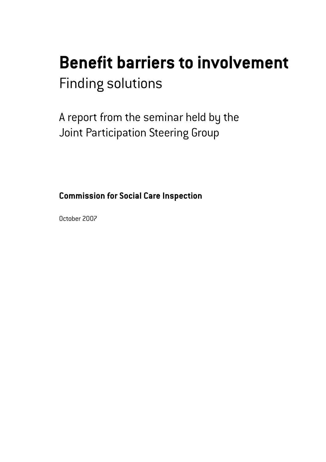# **Benefit barriers to involvement** Finding solutions

A report from the seminar held by the Joint Participation Steering Group

**Commission for Social Care Inspection**

October 2007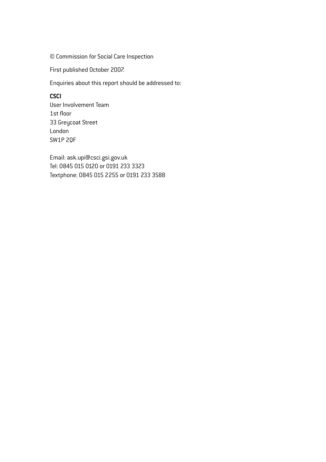© Commission for Social Care Inspection

First published October 2007.

Enquiries about this report should be addressed to:

#### **CSCI**

User Involvement Team 1st floor 33 Greycoat Street London SW1P 2QF

Email: ask.upi@csci.gsi.gov.uk Tel: 0845 015 0120 or 0191 233 3323 Textphone: 0845 015 2255 or 0191 233 3588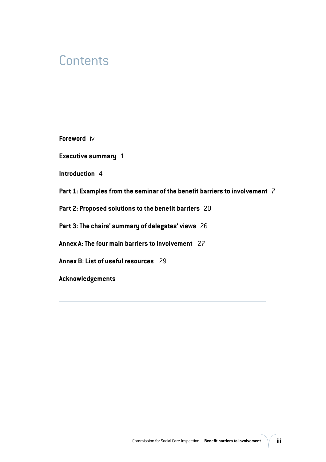## **Contents**

**Foreword** iv

**Executive summary** 1

**Introduction** 4

**Part 1: Examples from the seminar of the benefit barriers to involvement** 7

**Part 2: Proposed solutions to the benefit barriers** 20

**Part 3: The chairs' summary of delegates' views** 26

**Annex A: The four main barriers to involvement** 27

**Annex B: List of useful resources** 29

**Acknowledgements**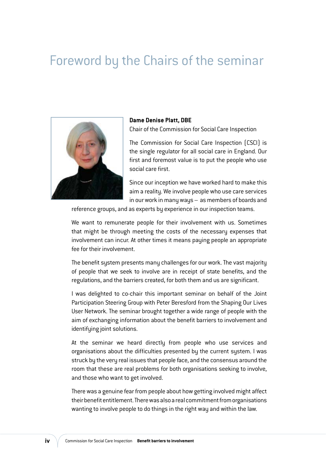## Foreword by the Chairs of the seminar



## **Dame Denise Platt, DBE**

Chair of the Commission for Social Care Inspection

The Commission for Social Care Inspection (CSCI) is the single regulator for all social care in England. Our first and foremost value is to put the people who use social care first.

Since our inception we have worked hard to make this aim a reality. We involve people who use care services in our work in many ways – as members of boards and

reference groups, and as experts by experience in our inspection teams.

We want to remunerate people for their involvement with us. Sometimes that might be through meeting the costs of the necessary expenses that involvement can incur. At other times it means paying people an appropriate fee for their involvement.

The benefit system presents many challenges for our work. The vast majority of people that we seek to involve are in receipt of state benefits, and the regulations, and the barriers created, for both them and us are significant.

I was delighted to co-chair this important seminar on behalf of the Joint Participation Steering Group with Peter Beresford from the Shaping Our Lives User Network. The seminar brought together a wide range of people with the aim of exchanging information about the benefit barriers to involvement and identifying joint solutions.

At the seminar we heard directly from people who use services and organisations about the difficulties presented by the current system. I was struck by the very real issues that people face, and the consensus around the room that these are real problems for both organisations seeking to involve, and those who want to get involved.

There was a genuine fear from people about how getting involved might affect their benefit entitlement. There was also a real commitment from organisations wanting to involve people to do things in the right way and within the law.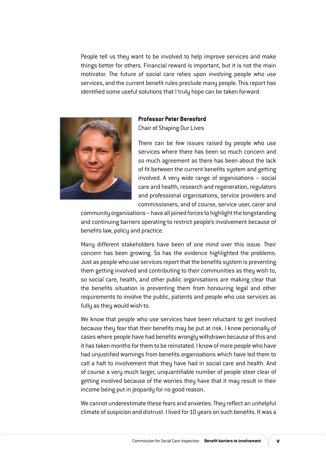People tell us they want to be involved to help improve services and make things better for others. Financial reward is important, but it is not the main motivator. The future of social care relies upon involving people who use services, and the current benefit rules preclude many people. This report has identified some useful solutions that I truly hope can be taken forward.



#### **Professor Peter Beresford**  Chair of Shaping Our Lives

There can be few issues raised by people who use services where there has been so much concern and so much agreement as there has been about the lack of fit between the current benefits system and getting involved. A very wide range of organisations – social care and health, research and regeneration, regulators and professional organisations, service providers and commissioners, and of course, service user, carer and

community organisations – have all joined forces to highlight the longstanding and continuing barriers operating to restrict people's involvement because of benefits law, policy and practice.

Many different stakeholders have been of one mind over this issue. Their concern has been growing. So has the evidence highlighted the problems. Just as people who use services report that the benefits system is preventing them getting involved and contributing to their communities as they wish to, so social care, health, and other public organisations are making clear that the benefits situation is preventing them from honouring legal and other requirements to involve the public, patients and people who use services as fully as they would wish to.

We know that people who use services have been reluctant to get involved because they fear that their benefits may be put at risk. I know personally of cases where people have had benefits wrongly withdrawn because of this and it has taken months for them to be reinstated. I know of more people who have had unjustified warnings from benefits organisations which have led them to call a halt to involvement that they have had in social care and health. And of course a very much larger, unquantifiable number of people steer clear of getting involved because of the worries they have that it may result in their income being put in jeopardy for no good reason.

We cannot underestimate these fears and anxieties. They reflect an unhelpful climate of suspicion and distrust. I lived for 10 years on such benefits. It was a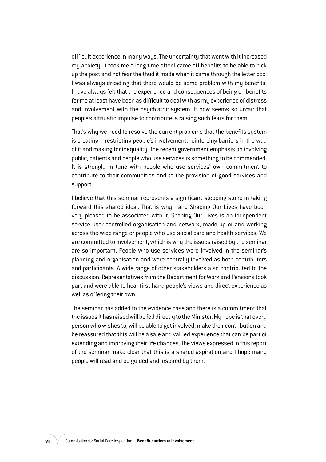difficult experience in many ways. The uncertainty that went with it increased my anxiety. It took me a long time after I came off benefits to be able to pick up the post and not fear the thud it made when it came through the letter box. I was always dreading that there would be some problem with my benefits. I have always felt that the experience and consequences of being on benefits for me at least have been as difficult to deal with as my experience of distress and involvement with the psychiatric system. It now seems so unfair that people's altruistic impulse to contribute is raising such fears for them.

That's why we need to resolve the current problems that the benefits system is creating – restricting people's involvement, reinforcing barriers in the way of it and making for inequality. The recent government emphasis on involving public, patients and people who use services is something to be commended. It is strongly in tune with people who use services' own commitment to contribute to their communities and to the provision of good services and support.

I believe that this seminar represents a significant stepping stone in taking forward this shared ideal. That is why I and Shaping Our Lives have been very pleased to be associated with it. Shaping Our Lives is an independent service user controlled organisation and network, made up of and working across the wide range of people who use social care and health services. We are committed to involvement, which is why the issues raised by the seminar are so important. People who use services were involved in the seminar's planning and organisation and were centrally involved as both contributors and participants. A wide range of other stakeholders also contributed to the discussion. Representatives from the Department for Work and Pensions took part and were able to hear first hand people's views and direct experience as well as offering their own.

The seminar has added to the evidence base and there is a commitment that the issues it has raised will be fed directly to the Minister. My hope is that every person who wishes to, will be able to get involved, make their contribution and be reassured that this will be a safe and valued experience that can be part of extending and improving their life chances. The views expressed in this report of the seminar make clear that this is a shared aspiration and I hope many people will read and be guided and inspired by them.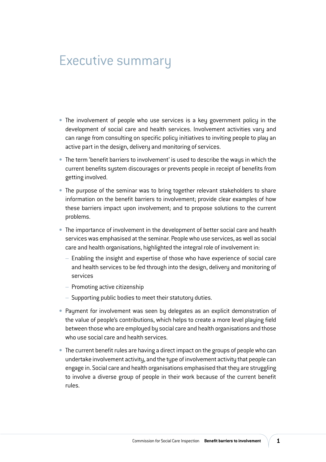## Executive summary

- **•** The involvement of people who use services is a key government policy in the development of social care and health services. Involvement activities vary and can range from consulting on specific policy initiatives to inviting people to play an active part in the design, delivery and monitoring of services.
- **UÊ** The term 'benefit barriers to involvement' is used to describe the ways in which the current benefits system discourages or prevents people in receipt of benefits from getting involved.
- **•** The purpose of the seminar was to bring together relevant stakeholders to share information on the benefit barriers to involvement; provide clear examples of how these barriers impact upon involvement; and to propose solutions to the current problems.
- **•** The importance of involvement in the development of better social care and health services was emphasised at the seminar. People who use services, as well as social care and health organisations, highlighted the integral role of involvement in:
	- Enabling the insight and expertise of those who have experience of social care and health services to be fed through into the design, delivery and monitoring of services
	- Promoting active citizenship
	- Supporting public bodies to meet their statutory duties.
- **Payment for involvement was seen by delegates as an explicit demonstration of** the value of people's contributions, which helps to create a more level playing field between those who are employed by social care and health organisations and those who use social care and health services.
- **•** The current benefit rules are having a direct impact on the groups of people who can undertake involvement activity, and the type of involvement activity that people can engage in. Social care and health organisations emphasised that they are struggling to involve a diverse group of people in their work because of the current benefit rules.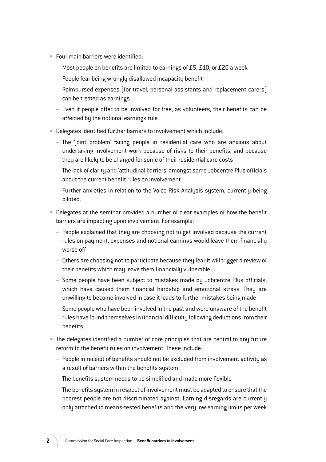- **Four main barriers were identified:** 
	- Most people on benefits are limited to earnings of £5, £10, or £20 a week
	- People fear being wrongly disallowed incapacity benefit
	- Reimbursed expenses (for travel, personal assistants and replacement carers) can be treated as earnings
	- Even if people offer to be involved for free, as volunteers, their benefits can be affected by the notional earnings rule.
- **Delegates identified further barriers to involvement which include:** 
	- The 'joint problem' facing people in residential care who are anxious about undertaking involvement work because of risks to their benefits, and because they are likely to be charged for some of their residential care costs
	- The lack of clarity and 'attitudinal barriers' amongst some Jobcentre Plus officials about the current benefit rules on involvement
	- Further anxieties in relation to the Voice Risk Analysis system, currently being piloted.
- **Delegates at the seminar provided a number of clear examples of how the benefit** barriers are impacting upon involvement. For example:
	- People explained that they are choosing not to get involved because the current rules on payment, expenses and notional earnings would leave them financially worse off
	- Others are choosing not to participate because they fear it will trigger a review of their benefits which may leave them financially vulnerable
	- Some people have been subject to mistakes made by Jobcentre Plus officials, which have caused them financial hardship and emotional stress. They are unwilling to become involved in case it leads to further mistakes being made
	- Some people who have been involved in the past and were unaware of the benefit rules have found themselves in financial difficulty following deductions from their benefits.
- **UÊ** The delegates identified a number of core principles that are central to any future reform to the benefit rules on involvement. These include:
	- People in receipt of benefits should not be excluded from involvement activity as a result of barriers within the benefits system
	- The benefits system needs to be simplified and made more flexible
	- The benefits system in respect of involvement must be adapted to ensure that the poorest people are not discriminated against. Earning disregards are currently only attached to means-tested benefits and the very low earning limits per week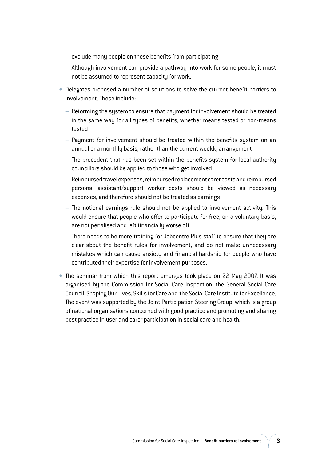exclude many people on these benefits from participating

- Although involvement can provide a pathway into work for some people, it must not be assumed to represent capacity for work.
- **Delegates proposed a number of solutions to solve the current benefit barriers to** involvement. These include:
	- Reforming the system to ensure that payment for involvement should be treated in the same way for all types of benefits, whether means tested or non-means tested
	- Payment for involvement should be treated within the benefits system on an annual or a monthly basis, rather than the current weekly arrangement
	- The precedent that has been set within the benefits system for local authority councillors should be applied to those who get involved
	- Reimbursed travel expenses, reimbursed replacement carer costs and reimbursed personal assistant/support worker costs should be viewed as necessary expenses, and therefore should not be treated as earnings
	- The notional earnings rule should not be applied to involvement activity. This would ensure that people who offer to participate for free, on a voluntary basis, are not penalised and left financially worse off
	- There needs to be more training for Jobcentre Plus staff to ensure that they are clear about the benefit rules for involvement, and do not make unnecessary mistakes which can cause anxiety and financial hardship for people who have contributed their expertise for involvement purposes.
- **•** The seminar from which this report emerges took place on 22 May 2007. It was organised by the Commission for Social Care Inspection, the General Social Care Council, Shaping Our Lives, Skills for Care and the Social Care Institute for Excellence. The event was supported by the Joint Participation Steering Group, which is a group of national organisations concerned with good practice and promoting and sharing best practice in user and carer participation in social care and health.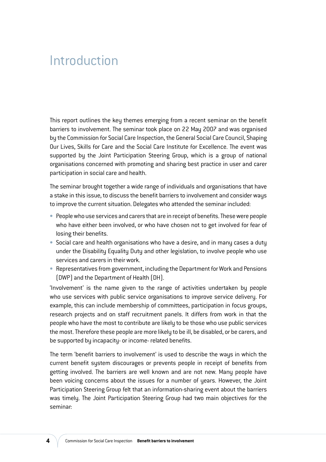## Introduction

This report outlines the key themes emerging from a recent seminar on the benefit barriers to involvement. The seminar took place on 22 May 2007 and was organised by the Commission for Social Care Inspection, the General Social Care Council, Shaping Our Lives, Skills for Care and the Social Care Institute for Excellence. The event was supported by the Joint Participation Steering Group, which is a group of national organisations concerned with promoting and sharing best practice in user and carer participation in social care and health.

The seminar brought together a wide range of individuals and organisations that have a stake in this issue, to discuss the benefit barriers to involvement and consider ways to improve the current situation. Delegates who attended the seminar included:

- **UÊ** People who use services and carers that are in receipt of benefits. These were people who have either been involved, or who have chosen not to get involved for fear of losing their benefits.
- **Social care and health organisations who have a desire, and in many cases a duty** under the Disability Equality Duty and other legislation, to involve people who use services and carers in their work.
- **Representatives from government, including the Department for Work and Pensions** (DWP) and the Department of Health (DH).

'Involvement' is the name given to the range of activities undertaken by people who use services with public service organisations to improve service delivery. For example, this can include membership of committees, participation in focus groups, research projects and on staff recruitment panels. It differs from work in that the people who have the most to contribute are likely to be those who use public services the most. Therefore these people are more likely to be ill, be disabled, or be carers, and be supported by incapacity- or income- related benefits.

The term 'benefit barriers to involvement' is used to describe the ways in which the current benefit system discourages or prevents people in receipt of benefits from getting involved. The barriers are well known and are not new. Many people have been voicing concerns about the issues for a number of years. However, the Joint Participation Steering Group felt that an information-sharing event about the barriers was timely. The Joint Participation Steering Group had two main objectives for the seminar: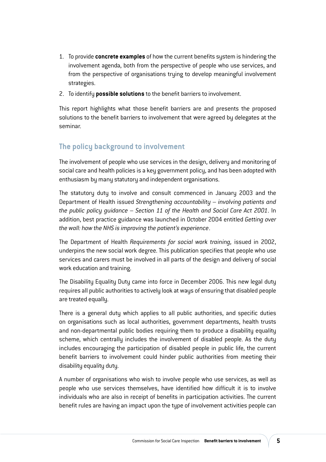- 1. To provide **concrete examples** of how the current benefits system is hindering the involvement agenda, both from the perspective of people who use services, and from the perspective of organisations trying to develop meaningful involvement strategies.
- 2. To identify **possible solutions** to the benefit barriers to involvement.

This report highlights what those benefit barriers are and presents the proposed solutions to the benefit barriers to involvement that were agreed by delegates at the seminar.

## **The policy background to involvement**

The involvement of people who use services in the design, delivery and monitoring of social care and health policies is a key government policy, and has been adopted with enthusiasm by many statutory and independent organisations.

The statutory duty to involve and consult commenced in January 2003 and the Department of Health issued *Strengthening accountability – involving patients and the public policy guidance – Section 11 of the Health and Social Care Act 2001*. In addition, best practice guidance was launched in October 2004 entitled *Getting over the wall: how the NHS is improving the patient's experience*.

The Department of Health *Requirements for social work training,* issued in 2002, underpins the new social work degree. This publication specifies that people who use services and carers must be involved in all parts of the design and delivery of social work education and training.

The Disability Equality Duty came into force in December 2006. This new legal duty requires all public authorities to actively look at ways of ensuring that disabled people are treated equally.

There is a general duty which applies to all public authorities, and specific duties on organisations such as local authorities, government departments, health trusts and non-departmental public bodies requiring them to produce a disability equality scheme, which centrally includes the involvement of disabled people. As the duty includes encouraging the participation of disabled people in public life, the current benefit barriers to involvement could hinder public authorities from meeting their disability equality duty.

A number of organisations who wish to involve people who use services, as well as people who use services themselves, have identified how difficult it is to involve individuals who are also in receipt of benefits in participation activities. The current benefit rules are having an impact upon the type of involvement activities people can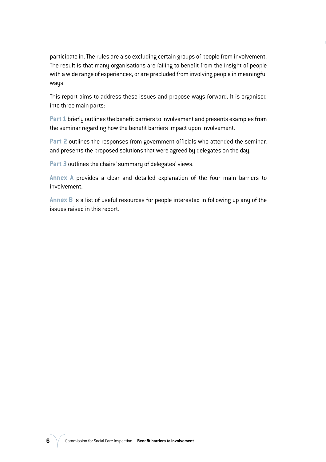participate in. The rules are also excluding certain groups of people from involvement. The result is that many organisations are failing to benefit from the insight of people with a wide range of experiences, or are precluded from involving people in meaningful ways.

This report aims to address these issues and propose ways forward. It is organised into three main parts:

**Part 1** briefly outlines the benefit barriers to involvement and presents examples from the seminar regarding how the benefit barriers impact upon involvement.

**Part 2** outlines the responses from government officials who attended the seminar, and presents the proposed solutions that were agreed by delegates on the day.

**Part 3** outlines the chairs' summary of delegates' views.

**Annex A** provides a clear and detailed explanation of the four main barriers to involvement.

**Annex B** is a list of useful resources for people interested in following up any of the issues raised in this report.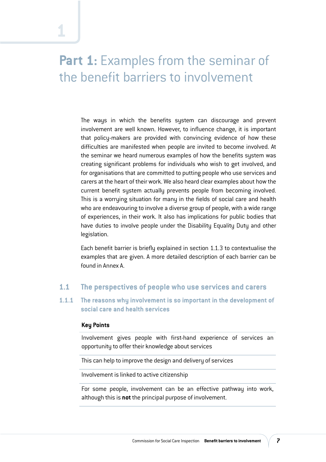## **Part 1:** Examples from the seminar of the benefit barriers to involvement

The ways in which the benefits system can discourage and prevent involvement are well known. However, to influence change, it is important that policy-makers are provided with convincing evidence of how these difficulties are manifested when people are invited to become involved. At the seminar we heard numerous examples of how the benefits system was creating significant problems for individuals who wish to get involved, and for organisations that are committed to putting people who use services and carers at the heart of their work. We also heard clear examples about how the current benefit system actually prevents people from becoming involved. This is a worrying situation for many in the fields of social care and health who are endeavouring to involve a diverse group of people, with a wide range of experiences, in their work. It also has implications for public bodies that have duties to involve people under the Disability Equality Duty and other legislation.

Each benefit barrier is briefly explained in section 1.1.3 to contextualise the examples that are given. A more detailed description of each barrier can be found in Annex A.

### **1.1 The perspectives of people who use services and carers**

#### **1.1.1 The reasons why involvement is so important in the development of social care and health services**

#### **Key Points**

Involvement gives people with first-hand experience of services an opportunity to offer their knowledge about services

This can help to improve the design and delivery of services

Involvement is linked to active citizenship

For some people, involvement can be an effective pathway into work, although this is **not** the principal purpose of involvement.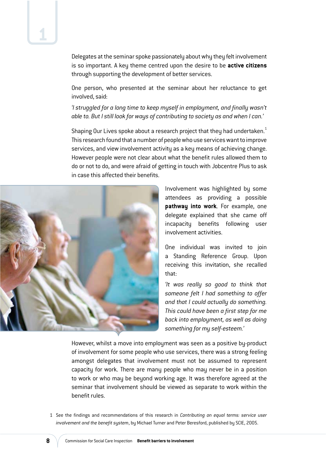Delegates at the seminar spoke passionately about why they felt involvement is so important. A key theme centred upon the desire to be **active citizens** through supporting the development of better services.

One person, who presented at the seminar about her reluctance to get involved, said:

*'I struggled for a long time to keep myself in employment, and finally wasn't able to. But I still look for ways of contributing to society as and when I can.'* 

Shaping Our Lives spoke about a research project that they had undertaken.<sup>1</sup> This research found that a number of people who use services want to improve services, and view involvement activity as a key means of achieving change. However people were not clear about what the benefit rules allowed them to do or not to do, and were afraid of getting in touch with Jobcentre Plus to ask in case this affected their benefits.



Involvement was highlighted by some attendees as providing a possible **pathway into work**. For example, one delegate explained that she came off incapacity benefits following user involvement activities.

One individual was invited to join a Standing Reference Group. Upon receiving this invitation, she recalled that:

*'It was really so good to think that someone felt I had something to offer and that I could actually do something. This could have been a first step for me back into employment, as well as doing something for my self-esteem.'*

However, whilst a move into employment was seen as a positive by-product of involvement for some people who use services, there was a strong feeling amongst delegates that involvement must not be assumed to represent capacity for work. There are many people who may never be in a position to work or who may be beyond working age. It was therefore agreed at the seminar that involvement should be viewed as separate to work within the benefit rules.

1 See the findings and recommendations of this research in *Contributing on equal terms: service user involvement and the benefit system*, by Michael Turner and Peter Beresford, published by SCIE, 2005.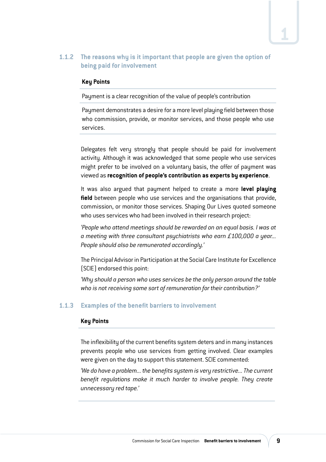### **1.1.2 The reasons why is it important that people are given the option of being paid for involvement**

#### **Key Points**

Payment is a clear recognition of the value of people's contribution

Payment demonstrates a desire for a more level playing field between those who commission, provide, or monitor services, and those people who use services.

Delegates felt very strongly that people should be paid for involvement activity. Although it was acknowledged that some people who use services might prefer to be involved on a voluntary basis, the offer of payment was viewed as **recognition of people's contribution as experts by experience**.

It was also argued that payment helped to create a more **level playing field** between people who use services and the organisations that provide, commission, or monitor those services. Shaping Our Lives quoted someone who uses services who had been involved in their research project:

*'People who attend meetings should be rewarded on an equal basis. I was at a meeting with three consultant psychiatrists who earn £100,000 a year... People should also be remunerated accordingly.'*

The Principal Advisor in Participation at the Social Care Institute for Excellence (SCIE) endorsed this point:

*'Why should a person who uses services be the only person around the table who is not receiving some sort of remuneration for their contribution?'*

### **1.1.3 Examples of the benefit barriers to involvement**

#### **Key Points**

The inflexibility of the current benefits system deters and in many instances prevents people who use services from getting involved. Clear examples were given on the day to support this statement. SCIE commented:

*'We do have a problem... the benefits system is very restrictive... The current benefit regulations make it much harder to involve people. They create unnecessary red tape.'*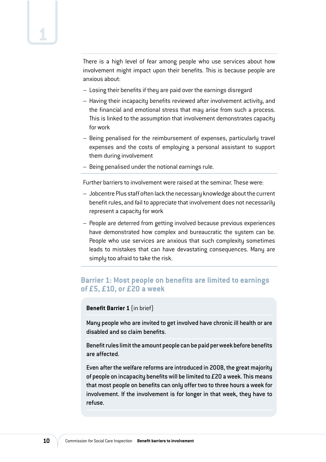There is a high level of fear among people who use services about how involvement might impact upon their benefits. This is because people are anxious about:

- Losing their benefits if they are paid over the earnings disregard
- Having their incapacity benefits reviewed after involvement activity, and the financial and emotional stress that may arise from such a process. This is linked to the assumption that involvement demonstrates capacity for work
- Being penalised for the reimbursement of expenses, particularly travel expenses and the costs of employing a personal assistant to support them during involvement
- Being penalised under the notional earnings rule.

Further barriers to involvement were raised at the seminar. These were:

- Jobcentre Plus staff often lack the necessary knowledge about the current benefit rules, and fail to appreciate that involvement does not necessarily represent a capacity for work
- People are deterred from getting involved because previous experiences have demonstrated how complex and bureaucratic the system can be. People who use services are anxious that such complexity sometimes leads to mistakes that can have devastating consequences. Many are simply too afraid to take the risk.

### **Barrier 1: Most people on benefits are limited to earnings of £5, £10, or £20 a week**

#### **Benefit Barrier 1** (in brief)

Many people who are invited to get involved have chronic ill health or are disabled and so claim benefits.

Benefit rules limit the amount people can be paid per week before benefits are affected.

Even after the welfare reforms are introduced in 2008, the great majority of people on incapacity benefits will be limited to £20 a week. This means that most people on benefits can only offer two to three hours a week for involvement. If the involvement is for longer in that week, they have to refuse.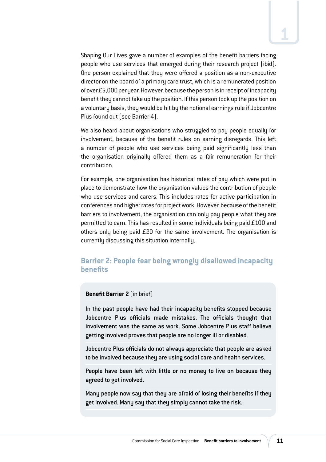Shaping Our Lives gave a number of examples of the benefit barriers facing people who use services that emerged during their research project (ibid). One person explained that they were offered a position as a non-executive director on the board of a primary care trust, which is a remunerated position of over £5,000 per year. However, because the person is in receipt of incapacity benefit they cannot take up the position. If this person took up the position on a voluntary basis, they would be hit by the notional earnings rule if Jobcentre Plus found out (see Barrier 4).

We also heard about organisations who struggled to pay people equally for involvement, because of the benefit rules on earning disregards. This left a number of people who use services being paid significantly less than the organisation originally offered them as a fair remuneration for their contribution.

For example, one organisation has historical rates of pay which were put in place to demonstrate how the organisation values the contribution of people who use services and carers. This includes rates for active participation in conferences and higher rates for project work. However, because of the benefit barriers to involvement, the organisation can only pay people what they are permitted to earn. This has resulted in some individuals being paid £100 and others only being paid £20 for the same involvement. The organisation is currently discussing this situation internally.

### **Barrier 2: People fear being wrongly disallowed incapacity benefits**

#### **Benefit Barrier 2** (in brief)

In the past people have had their incapacity benefits stopped because Jobcentre Plus officials made mistakes. The officials thought that involvement was the same as work. Some Jobcentre Plus staff believe getting involved proves that people are no longer ill or disabled.

Jobcentre Plus officials do not always appreciate that people are asked to be involved because they are using social care and health services.

People have been left with little or no money to live on because they agreed to get involved.

Many people now say that they are afraid of losing their benefits if they get involved. Many say that they simply cannot take the risk.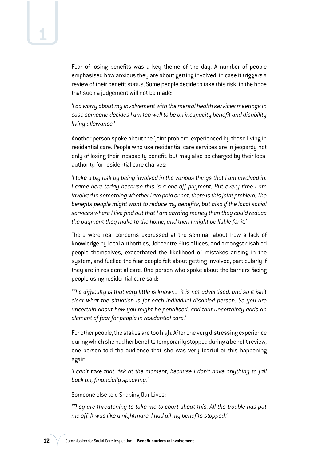Fear of losing benefits was a key theme of the day. A number of people emphasised how anxious they are about getting involved, in case it triggers a review of their benefit status. Some people decide to take this risk, in the hope that such a judgement will not be made:

*'I do worry about my involvement with the mental health services meetings in case someone decides I am too well to be on incapacity benefit and disability living allowance.'*

Another person spoke about the 'joint problem' experienced by those living in residential care. People who use residential care services are in jeopardy not only of losing their incapacity benefit, but may also be charged by their local authority for residential care charges:

*'I take a big risk by being involved in the various things that I am involved in. I came here today because this is a one-off payment. But every time I am involved in something whether I am paid or not, there is this joint problem. The benefits people might want to reduce my benefits, but also if the local social services where I live find out that I am earning money then they could reduce the payment they make to the home, and then I might be liable for it.'*

There were real concerns expressed at the seminar about how a lack of knowledge by local authorities, Jobcentre Plus offices, and amongst disabled people themselves, exacerbated the likelihood of mistakes arising in the system, and fuelled the fear people felt about getting involved, particularly if they are in residential care. One person who spoke about the barriers facing people using residential care said:

*'The difficulty is that very little is known... it is not advertised, and so it isn't clear what the situation is for each individual disabled person. So you are uncertain about how you might be penalised, and that uncertainty adds an element of fear for people in residential care.'*

For other people, the stakes are too high. After one very distressing experience during which she had her benefits temporarily stopped during a benefit review, one person told the audience that she was very fearful of this happening again:

*'I can't take that risk at the moment, because I don't have anything to fall back on, financially speaking.'*

Someone else told Shaping Our Lives:

*'They are threatening to take me to court about this. All the trouble has put me off. It was like a nightmare. I had all my benefits stopped.'*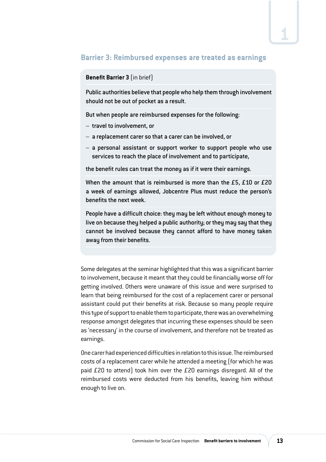## **Barrier 3: Reimbursed expenses are treated as earnings**

#### **Benefit Barrier 3** (in brief)

Public authorities believe that people who help them through involvement should not be out of pocket as a result.

But when people are reimbursed expenses for the following:

- travel to involvement, or
- a replacement carer so that a carer can be involved, or
- a personal assistant or support worker to support people who use services to reach the place of involvement and to participate,

the benefit rules can treat the money as if it were their earnings.

When the amount that is reimbursed is more than the £5, £10 or £20 a week of earnings allowed, Jobcentre Plus must reduce the person's benefits the next week.

People have a difficult choice: they may be left without enough money to live on because they helped a public authority; or they may say that they cannot be involved because they cannot afford to have money taken away from their benefits.

Some delegates at the seminar highlighted that this was a significant barrier to involvement, because it meant that they could be financially worse off for getting involved. Others were unaware of this issue and were surprised to learn that being reimbursed for the cost of a replacement carer or personal assistant could put their benefits at risk. Because so many people require this type of support to enable them to participate, there was an overwhelming response amongst delegates that incurring these expenses should be seen as 'necessary' in the course of involvement, and therefore not be treated as earnings.

One carer had experienced difficulties in relation to this issue. The reimbursed costs of a replacement carer while he attended a meeting (for which he was paid £20 to attend) took him over the £20 earnings disregard. All of the reimbursed costs were deducted from his benefits, leaving him without enough to live on.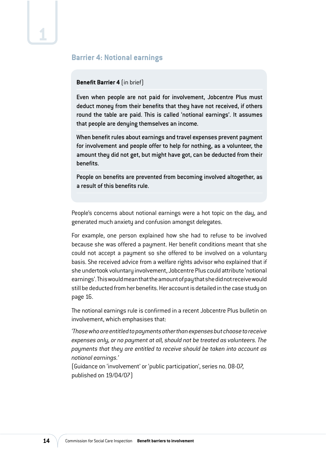### **Barrier 4: Notional earnings**

#### **Benefit Barrier 4** (in brief)

Even when people are not paid for involvement, Jobcentre Plus must deduct money from their benefits that they have not received, if others round the table are paid. This is called 'notional earnings'. It assumes that people are denying themselves an income.

When benefit rules about earnings and travel expenses prevent payment for involvement and people offer to help for nothing, as a volunteer, the amount they did not get, but might have got, can be deducted from their benefits.

People on benefits are prevented from becoming involved altogether, as a result of this benefits rule.

People's concerns about notional earnings were a hot topic on the day, and generated much anxiety and confusion amongst delegates.

For example, one person explained how she had to refuse to be involved because she was offered a payment. Her benefit conditions meant that she could not accept a payment so she offered to be involved on a voluntary basis. She received advice from a welfare rights advisor who explained that if she undertook voluntary involvement, Jobcentre Plus could attribute 'notional earnings'. This would mean that the amount of pay that she did not receive would still be deducted from her benefits. Her account is detailed in the case study on page 16.

The notional earnings rule is confirmed in a recent Jobcentre Plus bulletin on involvement, which emphasises that:

*'Those who are entitled to payments other than expenses but choose to receive expenses only, or no payment at all, should not be treated as volunteers. The payments that they are entitled to receive should be taken into account as notional earnings.'*

(Guidance on 'involvement' or 'public participation', series no. 08-07, published on 19/04/07)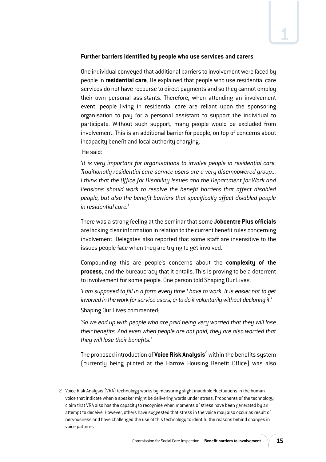#### **Further barriers identified by people who use services and carers**

One individual conveyed that additional barriers to involvement were faced by people in **residential care**. He explained that people who use residential care services do not have recourse to direct payments and so they cannot employ their own personal assistants. Therefore, when attending an involvement event, people living in residential care are reliant upon the sponsoring organisation to pay for a personal assistant to support the individual to participate. Without such support, many people would be excluded from involvement. This is an additional barrier for people, on top of concerns about incapacity benefit and local authority charging.

#### He said:

*'It is very important for organisations to involve people in residential care. Traditionally residential care service users are a very disempowered group... I think that the Office for Disability Issues and the Department for Work and Pensions should work to resolve the benefit barriers that affect disabled people, but also the benefit barriers that specifically affect disabled people in residential care.'*

There was a strong feeling at the seminar that some **Jobcentre Plus officials**  are lacking clear information in relation to the current benefit rules concerning involvement. Delegates also reported that some staff are insensitive to the issues people face when they are trying to get involved.

Compounding this are people's concerns about the **complexity of the process**, and the bureaucracy that it entails. This is proving to be a deterrent to involvement for some people. One person told Shaping Our Lives:

*'I am supposed to fill in a form every time I have to work. It is easier not to get involved in the work for service users, or to do it voluntarily without declaring it.'* 

Shaping Our Lives commented:

*'So we end up with people who are paid being very worried that they will lose their benefits. And even when people are not paid, they are also worried that they will lose their benefits.'*

The proposed introduction of **Voice Risk Analysis<sup>2</sup> w**ithin the benefits system (currently being piloted at the Harrow Housing Benefit Office) was also

<sup>2</sup> Voice Risk Analysis (VRA) technology works by measuring slight inaudible fluctuations in the human voice that indicate when a speaker might be delivering words under stress. Proponents of the technology claim that VRA also has the capacity to recognise when moments of stress have been generated by an attempt to deceive. However, others have suggested that stress in the voice may also occur as result of nervousness and have challenged the use of this technology to identify the reasons behind changes in voice patterns.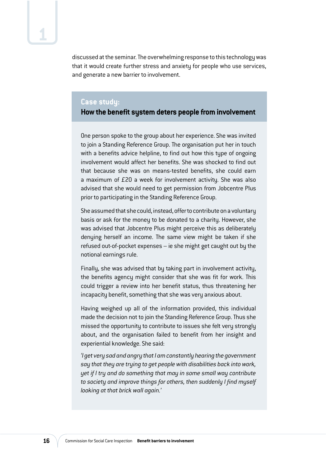discussed at the seminar. The overwhelming response to this technology was that it would create further stress and anxiety for people who use services, and generate a new barrier to involvement.

#### **Case study:**

#### **How the benefit system deters people from involvement**

One person spoke to the group about her experience. She was invited to join a Standing Reference Group. The organisation put her in touch with a benefits advice helpline, to find out how this type of ongoing involvement would affect her benefits. She was shocked to find out that because she was on means-tested benefits, she could earn a maximum of £20 a week for involvement activity. She was also advised that she would need to get permission from Jobcentre Plus prior to participating in the Standing Reference Group.

She assumed that she could, instead, offer to contribute on a voluntary basis or ask for the money to be donated to a charity. However, she was advised that Jobcentre Plus might perceive this as deliberately denying herself an income. The same view might be taken if she refused out-of-pocket expenses – ie she might get caught out by the notional earnings rule.

Finally, she was advised that by taking part in involvement activity, the benefits agency might consider that she was fit for work. This could trigger a review into her benefit status, thus threatening her incapacity benefit, something that she was very anxious about.

Having weighed up all of the information provided, this individual made the decision not to join the Standing Reference Group. Thus she missed the opportunity to contribute to issues she felt very strongly about, and the organisation failed to benefit from her insight and experiential knowledge. She said:

*'I get very sad and angry that I am constantly hearing the government say that they are trying to get people with disabilities back into work, yet if I try and do something that may in some small way contribute to society and improve things for others, then suddenly I find myself looking at that brick wall again.'*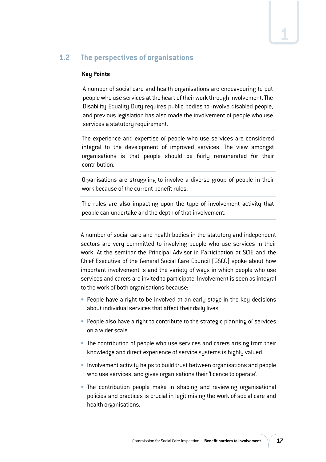## **1.2 The perspectives of organisations**

#### **Key Points**

A number of social care and health organisations are endeavouring to put people who use services at the heart of their work through involvement. The Disability Equality Duty requires public bodies to involve disabled people, and previous legislation has also made the involvement of people who use services a statutory requirement.

The experience and expertise of people who use services are considered integral to the development of improved services. The view amongst organisations is that people should be fairly remunerated for their contribution.

Organisations are struggling to involve a diverse group of people in their work because of the current benefit rules.

The rules are also impacting upon the type of involvement activity that people can undertake and the depth of that involvement.

A number of social care and health bodies in the statutory and independent sectors are very committed to involving people who use services in their work. At the seminar the Principal Advisor in Participation at SCIE and the Chief Executive of the General Social Care Council (GSCC) spoke about how important involvement is and the variety of ways in which people who use services and carers are invited to participate. Involvement is seen as integral to the work of both organisations because:

- **•** People have a right to be involved at an early stage in the key decisions about individual services that affect their daily lives.
- **•** People also have a right to contribute to the strategic planning of services on a wider scale.
- **•** The contribution of people who use services and carers arising from their knowledge and direct experience of service systems is highly valued.
- **Involvement activity helps to build trust between organisations and people** who use services, and gives organisations their 'licence to operate'.
- **•** The contribution people make in shaping and reviewing organisational policies and practices is crucial in legitimising the work of social care and health organisations.

**1**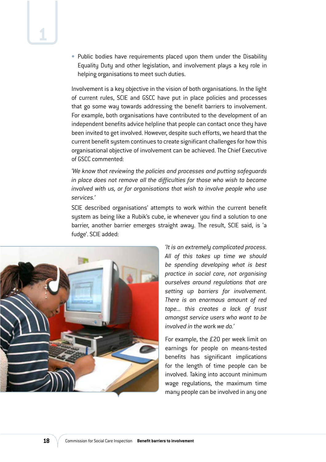• Public bodies have requirements placed upon them under the Disability Equality Duty and other legislation, and involvement plays a key role in helping organisations to meet such duties.

Involvement is a key objective in the vision of both organisations. In the light of current rules, SCIE and GSCC have put in place policies and processes that go some way towards addressing the benefit barriers to involvement. For example, both organisations have contributed to the development of an independent benefits advice helpline that people can contact once they have been invited to get involved. However, despite such efforts, we heard that the current benefit system continues to create significant challenges for how this organisational objective of involvement can be achieved. The Chief Executive of GSCC commented:

*'We know that reviewing the policies and processes and putting safeguards in place does not remove all the difficulties for those who wish to become involved with us, or for organisations that wish to involve people who use services.'*

SCIE described organisations' attempts to work within the current benefit system as being like a Rubik's cube, ie whenever you find a solution to one barrier, another barrier emerges straight away. The result, SCIE said, is 'a fudge'. SCIE added:



*'It is an extremely complicated process. All of this takes up time we should be spending developing what is best practice in social care, not organising ourselves around regulations that are setting up barriers for involvement. There is an enormous amount of red tape... this creates a lack of trust amongst service users who want to be involved in the work we do.'*

For example, the £20 per week limit on earnings for people on means-tested benefits has significant implications for the length of time people can be involved. Taking into account minimum wage regulations, the maximum time many people can be involved in any one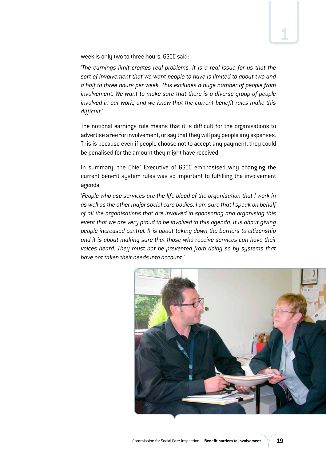week is only two to three hours. GSCC said:

*'The earnings limit creates real problems. It is a real issue for us that the sort of involvement that we want people to have is limited to about two and a half to three hours per week. This excludes a huge number of people from involvement. We want to make sure that there is a diverse group of people involved in our work, and we know that the current benefit rules make this difficult.'*

The notional earnings rule means that it is difficult for the organisations to advertise a fee for involvement, or say that they will pay people any expenses. This is because even if people choose not to accept any payment, they could be penalised for the amount they might have received.

In summary, the Chief Executive of GSCC emphasised why changing the current benefit system rules was so important to fulfilling the involvement agenda:

*'People who use services are the life blood of the organisation that I work in as well as the other major social care bodies. I am sure that I speak on behalf of all the organisations that are involved in sponsoring and organising this event that we are very proud to be involved in this agenda. It is about giving people increased control. It is about taking down the barriers to citizenship and it is about making sure that those who receive services can have their voices heard. They must not be prevented from doing so by systems that have not taken their needs into account.'*



**1**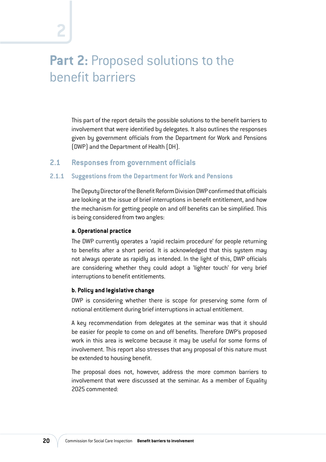## **Part 2: Proposed solutions to the** benefit barriers

This part of the report details the possible solutions to the benefit barriers to involvement that were identified by delegates. It also outlines the responses given by government officials from the Department for Work and Pensions (DWP) and the Department of Health (DH).

### **2.1 Responses from government officials**

#### **2.1.1 Suggestions from the Department for Work and Pensions**

The Deputy Director of the Benefit Reform Division DWP confirmed that officials are looking at the issue of brief interruptions in benefit entitlement, and how the mechanism for getting people on and off benefits can be simplified. This is being considered from two angles:

#### **a. Operational practice**

The DWP currently operates a 'rapid reclaim procedure' for people returning to benefits after a short period. It is acknowledged that this system may not always operate as rapidly as intended. In the light of this, DWP officials are considering whether they could adopt a 'lighter touch' for very brief interruptions to benefit entitlements.

#### **b. Policy and legislative change**

DWP is considering whether there is scope for preserving some form of notional entitlement during brief interruptions in actual entitlement.

A key recommendation from delegates at the seminar was that it should be easier for people to come on and off benefits. Therefore DWP's proposed work in this area is welcome because it may be useful for some forms of involvement. This report also stresses that any proposal of this nature must be extended to housing benefit.

The proposal does not, however, address the more common barriers to involvement that were discussed at the seminar. As a member of Equality 2025 commented: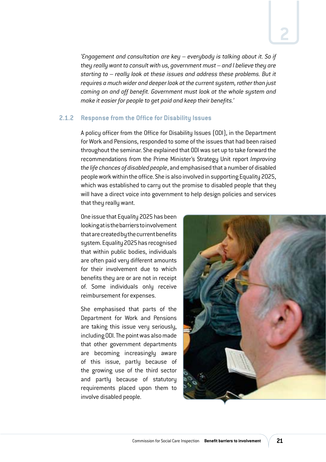*'Engagement and consultation are key – everybody is talking about it. So if they really want to consult with us, government must – and I believe they are starting to – really look at these issues and address these problems. But it requires a much wider and deeper look at the current system, rather than just coming on and off benefit. Government must look at the whole system and make it easier for people to get paid and keep their benefits.'*

#### **2.1.2 Response from the Office for Disability Issues**

A policy officer from the Office for Disability Issues (ODI), in the Department for Work and Pensions, responded to some of the issues that had been raised throughout the seminar. She explained that ODI was set up to take forward the recommendations from the Prime Minister's Strategy Unit report *Improving the life chances of disabled people*, and emphasised that a number of disabled people work within the office. She is also involved in supporting Equality 2025, which was established to carry out the promise to disabled people that they will have a direct voice into government to help design policies and services that they really want.

One issue that Equality 2025 has been looking at is the barriers to involvement that are created by the current benefits system. Equality 2025 has recognised that within public bodies, individuals are often paid very different amounts for their involvement due to which benefits they are or are not in receipt of. Some individuals only receive reimbursement for expenses.

She emphasised that parts of the Department for Work and Pensions are taking this issue very seriously, including ODI. The point was also made that other government departments are becoming increasingly aware of this issue, partly because of the growing use of the third sector and partly because of statutory requirements placed upon them to involve disabled people.

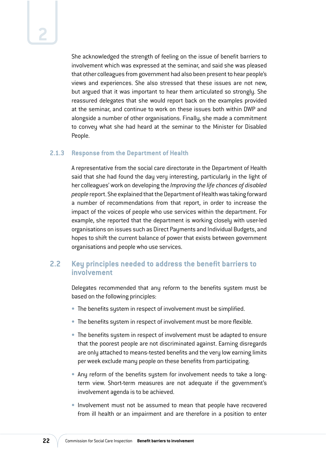She acknowledged the strength of feeling on the issue of benefit barriers to involvement which was expressed at the seminar, and said she was pleased that other colleagues from government had also been present to hear people's views and experiences. She also stressed that these issues are not new, but argued that it was important to hear them articulated so strongly. She reassured delegates that she would report back on the examples provided at the seminar, and continue to work on these issues both within DWP and alongside a number of other organisations. Finally, she made a commitment to convey what she had heard at the seminar to the Minister for Disabled People.

#### **2.1.3 Response from the Department of Health**

A representative from the social care directorate in the Department of Health said that she had found the day very interesting, particularly in the light of her colleagues' work on developing the *Improving the life chances of disabled people* report. She explained that the Department of Health was taking forward a number of recommendations from that report, in order to increase the impact of the voices of people who use services within the department. For example, she reported that the department is working closely with user-led organisations on issues such as Direct Payments and Individual Budgets, and hopes to shift the current balance of power that exists between government organisations and people who use services.

### **2.2 Key principles needed to address the benefit barriers to involvement**

Delegates recommended that any reform to the benefits system must be based on the following principles:

- **•** The benefits system in respect of involvement must be simplified.
- **The benefits system in respect of involvement must be more flexible.**
- **The benefits system in respect of involvement must be adapted to ensure** that the poorest people are not discriminated against. Earning disregards are only attached to means-tested benefits and the very low earning limits per week exclude many people on these benefits from participating.
- **Any reform of the benefits system for involvement needs to take a long**term view. Short-term measures are not adequate if the government's involvement agenda is to be achieved.
- **·** Involvement must not be assumed to mean that people have recovered from ill health or an impairment and are therefore in a position to enter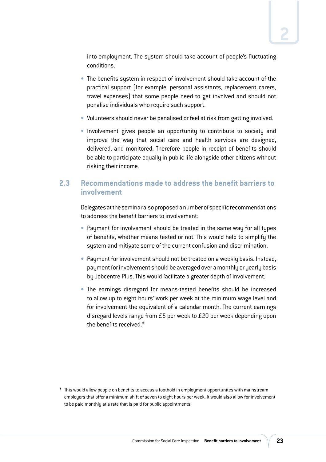into employment. The system should take account of people's fluctuating conditions.

- **•** The benefits system in respect of involvement should take account of the practical support (for example, personal assistants, replacement carers, travel expenses) that some people need to get involved and should not penalise individuals who require such support.
- **Volunteers should never be penalised or feel at risk from getting involved.**
- **Involvement gives people an opportunity to contribute to society and** improve the way that social care and health services are designed, delivered, and monitored. Therefore people in receipt of benefits should be able to participate equally in public life alongside other citizens without risking their income.

### **2.3 Recommendations made to address the benefit barriers to involvement**

Delegates at the seminar also proposed a number of specific recommendations to address the benefit barriers to involvement:

- **Payment for involvement should be treated in the same way for all types** of benefits, whether means tested or not. This would help to simplify the system and mitigate some of the current confusion and discrimination.
- **Payment for involvement should not be treated on a weekly basis. Instead,** payment for involvement should be averaged over a monthly or yearly basis by Jobcentre Plus. This would facilitate a greater depth of involvement.
- The earnings disregard for means-tested benefits should be increased to allow up to eight hours' work per week at the minimum wage level and for involvement the equivalent of a calendar month. The current earnings disregard levels range from £5 per week to £20 per week depending upon the benefits received.\*

<sup>\*</sup> This would allow people on benefits to access a foothold in employment opportunites with mainstream employers that offer a minimum shift of seven to eight hours per week. It would also allow for involvement to be paid monthly at a rate that is paid for public appointments.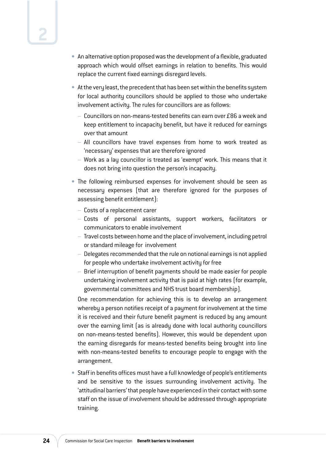- **An alternative option proposed was the development of a flexible, graduated** approach which would offset earnings in relation to benefits. This would replace the current fixed earnings disregard levels.
- **UÊ** At the very least, the precedent that has been set within the benefits system for local authority councillors should be applied to those who undertake involvement activity. The rules for councillors are as follows:
	- $-$  Councillors on non-means-tested benefits can earn over £86 a week and keep entitlement to incapacity benefit, but have it reduced for earnings over that amount
	- All councillors have travel expenses from home to work treated as 'necessary' expenses that are therefore ignored
	- Work as a lay councillor is treated as 'exempt' work. This means that it does not bring into question the person's incapacity.
- The following reimbursed expenses for involvement should be seen as necessary expenses (that are therefore ignored for the purposes of assessing benefit entitlement):
	- Costs of a replacement carer
	- Costs of personal assistants, support workers, facilitators or communicators to enable involvement
	- Travel costs between home and the place of involvement, including petrol or standard mileage for involvement
	- Delegates recommended that the rule on notional earnings is not applied for people who undertake involvement activity for free
	- Brief interruption of benefit payments should be made easier for people undertaking involvement activity that is paid at high rates (for example, governmental committees and NHS trust board membership).

One recommendation for achieving this is to develop an arrangement whereby a person notifies receipt of a payment for involvement at the time it is received and their future benefit payment is reduced by any amount over the earning limit (as is already done with local authority councillors on non-means-tested benefits). However, this would be dependent upon the earning disregards for means-tested benefits being brought into line with non-means-tested benefits to encourage people to engage with the arrangement.

**•** Staff in benefits offices must have a full knowledge of people's entitlements and be sensitive to the issues surrounding involvement activity. The 'attitudinal barriers' that people have experienced in their contact with some staff on the issue of involvement should be addressed through appropriate training.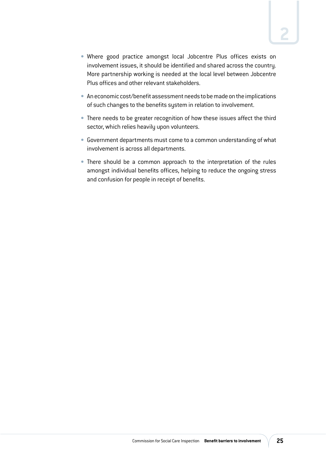- Where good practice amongst local Jobcentre Plus offices exists on involvement issues, it should be identified and shared across the country. More partnership working is needed at the local level between Jobcentre Plus offices and other relevant stakeholders.
- **An economic cost/benefit assessment needs to be made on the implications** of such changes to the benefits system in relation to involvement.
- **•** There needs to be greater recognition of how these issues affect the third sector, which relies heavily upon volunteers.
- **UÊ** Government departments must come to a common understanding of what involvement is across all departments.
- **•** There should be a common approach to the interpretation of the rules amongst individual benefits offices, helping to reduce the ongoing stress and confusion for people in receipt of benefits.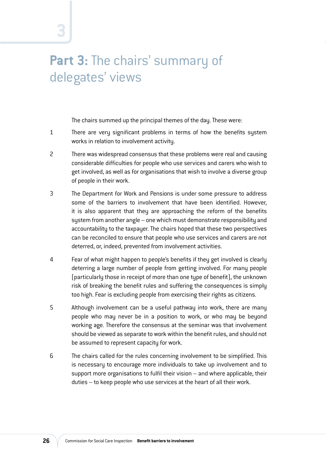## Part 3: The chairs' summary of delegates' views

**3**

The chairs summed up the principal themes of the day. These were:

- 1 There are very significant problems in terms of how the benefits system works in relation to involvement activity.
- 2 There was widespread consensus that these problems were real and causing considerable difficulties for people who use services and carers who wish to get involved, as well as for organisations that wish to involve a diverse group of people in their work.
- 3 The Department for Work and Pensions is under some pressure to address some of the barriers to involvement that have been identified. However, it is also apparent that they are approaching the reform of the benefits system from another angle – one which must demonstrate responsibility and accountability to the taxpayer. The chairs hoped that these two perspectives can be reconciled to ensure that people who use services and carers are not deterred, or, indeed, prevented from involvement activities.
- 4 Fear of what might happen to people's benefits if they get involved is clearly deterring a large number of people from getting involved. For many people (particularly those in receipt of more than one type of benefit), the unknown risk of breaking the benefit rules and suffering the consequences is simply too high. Fear is excluding people from exercising their rights as citizens.
- 5 Although involvement can be a useful pathway into work, there are many people who may never be in a position to work, or who may be beyond working age. Therefore the consensus at the seminar was that involvement should be viewed as separate to work within the benefit rules, and should not be assumed to represent capacity for work.
- 6 The chairs called for the rules concerning involvement to be simplified. This is necessary to encourage more individuals to take up involvement and to support more organisations to fulfil their vision – and where applicable, their duties – to keep people who use services at the heart of all their work.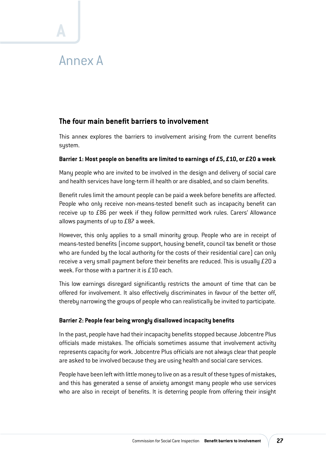## Annex A

**A**

## **The four main benefit barriers to involvement**

This annex explores the barriers to involvement arising from the current benefits system.

#### **Barrier 1: Most people on benefits are limited to earnings of £5, £10, or £20 a week**

Many people who are invited to be involved in the design and delivery of social care and health services have long-term ill health or are disabled, and so claim benefits.

Benefit rules limit the amount people can be paid a week before benefits are affected. People who only receive non-means-tested benefit such as incapacity benefit can receive up to £86 per week if they follow permitted work rules. Carers' Allowance allows payments of up to £87 a week.

However, this only applies to a small minority group. People who are in receipt of means-tested benefits (income support, housing benefit, council tax benefit or those who are funded by the local authority for the costs of their residential care) can only receive a very small payment before their benefits are reduced. This is usually £20 a week. For those with a partner it is £10 each.

This low earnings disregard significantly restricts the amount of time that can be offered for involvement. It also effectively discriminates in favour of the better off, thereby narrowing the groups of people who can realistically be invited to participate.

#### **Barrier 2: People fear being wrongly disallowed incapacity benefits**

In the past, people have had their incapacity benefits stopped because Jobcentre Plus officials made mistakes. The officials sometimes assume that involvement activity represents capacity for work. Jobcentre Plus officials are not always clear that people are asked to be involved because they are using health and social care services.

People have been left with little money to live on as a result of these types of mistakes, and this has generated a sense of anxiety amongst many people who use services who are also in receipt of benefits. It is deterring people from offering their insight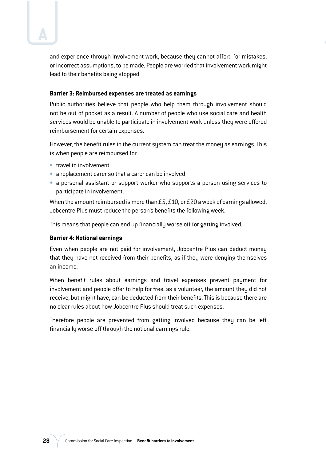and experience through involvement work, because they cannot afford for mistakes, or incorrect assumptions, to be made. People are worried that involvement work might lead to their benefits being stopped.

#### **Barrier 3: Reimbursed expenses are treated as earnings**

Public authorities believe that people who help them through involvement should not be out of pocket as a result. A number of people who use social care and health services would be unable to participate in involvement work unless they were offered reimbursement for certain expenses.

However, the benefit rules in the current system can treat the money as earnings. This is when people are reimbursed for:

- **•** travel to involvement
- **•** a replacement carer so that a carer can be involved
- **•** a personal assistant or support worker who supports a person using services to participate in involvement.

When the amount reimbursed is more than £5, £10, or £20 a week of earnings allowed, Jobcentre Plus must reduce the person's benefits the following week.

This means that people can end up financially worse off for getting involved.

#### **Barrier 4: Notional earnings**

Even when people are not paid for involvement, Jobcentre Plus can deduct money that they have not received from their benefits, as if they were denying themselves an income.

When benefit rules about earnings and travel expenses prevent payment for involvement and people offer to help for free, as a volunteer, the amount they did not receive, but might have, can be deducted from their benefits. This is because there are no clear rules about how Jobcentre Plus should treat such expenses.

Therefore people are prevented from getting involved because they can be left financially worse off through the notional earnings rule.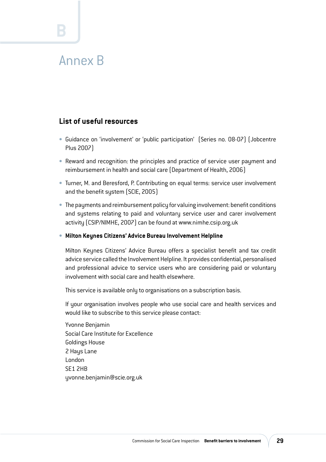## Annex B

**B**

## **List of useful resources**

- **UÊ** Guidance on 'involvement' or 'public participation' (Series no. 08-07) (Jobcentre Plus 2007)
- **Reward and recognition: the principles and practice of service user payment and** reimbursement in health and social care (Department of Health, 2006)
- **Turner, M. and Beresford, P. Contributing on equal terms: service user involvement** and the benefit system (SCIE, 2005)
- **•** The payments and reimbursement policy for valuing involvement: benefit conditions and systems relating to paid and voluntary service user and carer involvement activity (CSIP/NIMHE, 2007) can be found at www.nimhe.csip.org.uk
- **UÊ Milton Keynes Citizens' Advice Bureau Involvement Helpline**

Milton Keynes Citizens' Advice Bureau offers a specialist benefit and tax credit advice service called the Involvement Helpline. It provides confidential, personalised and professional advice to service users who are considering paid or voluntary involvement with social care and health elsewhere.

This service is available only to organisations on a subscription basis.

If your organisation involves people who use social care and health services and would like to subscribe to this service please contact:

Yvonne Benjamin Social Care Institute for Excellence Goldings House 2 Hays Lane London SE1 2HB yvonne.benjamin@scie.org.uk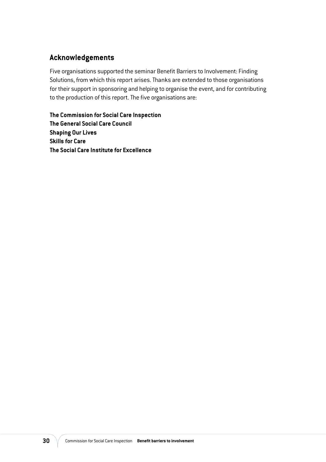## **Acknowledgements**

Five organisations supported the seminar Benefit Barriers to Involvement: Finding Solutions, from which this report arises. Thanks are extended to those organisations for their support in sponsoring and helping to organise the event, and for contributing to the production of this report. The five organisations are:

**The Commission for Social Care Inspection The General Social Care Council Shaping Our Lives Skills for Care The Social Care Institute for Excellence**